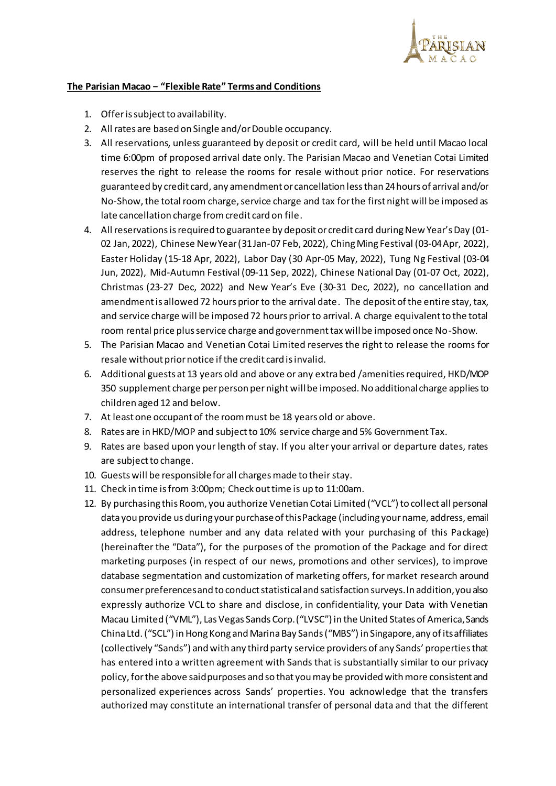

## **The Parisian Macao − "Flexible Rate" Terms and Conditions**

- 1. Offer is subject to availability.
- 2. All rates are based on Single and/or Double occupancy.
- 3. All reservations, unless guaranteed by deposit or credit card, will be held until Macao local time 6:00pm of proposed arrival date only. The Parisian Macao and Venetian Cotai Limited reserves the right to release the rooms for resale without prior notice. For reservations guaranteed by credit card, any amendment or cancellation less than 24 hours of arrival and/or No-Show, the total room charge, service charge and tax for the first night will be imposed as late cancellation charge from credit card on file.
- 4. All reservations is required to guarantee by deposit or credit card during New Year's Day (01- 02 Jan, 2022), Chinese New Year (31 Jan-07 Feb, 2022), Ching Ming Festival (03-04 Apr, 2022), Easter Holiday (15-18 Apr, 2022), Labor Day (30 Apr-05 May, 2022), Tung Ng Festival (03-04 Jun, 2022), Mid-Autumn Festival (09-11 Sep, 2022), Chinese National Day (01-07 Oct, 2022), Christmas (23-27 Dec, 2022) and New Year's Eve (30-31 Dec, 2022), no cancellation and amendment is allowed 72 hours prior to the arrival date. The deposit of the entire stay, tax, and service charge will be imposed 72 hours prior to arrival. A charge equivalent to the total room rental price plus service charge and government tax will be imposed once No-Show.
- 5. The Parisian Macao and Venetian Cotai Limited reserves the right to release the rooms for resale without prior notice if the credit card is invalid.
- 6. Additional guests at 13 years old and above or any extra bed /amenities required, HKD/MOP 350 supplement charge per person per night will be imposed. No additional charge applies to children aged 12 and below.
- 7. At least one occupant of the room must be 18 years old or above.
- 8. Rates are in HKD/MOP and subject to 10% service charge and 5% Government Tax.
- 9. Rates are based upon your length of stay. If you alter your arrival or departure dates, rates are subject to change.
- 10. Guests will be responsible for all charges made to their stay.
- 11. Check in time is from 3:00pm; Check out time is up to 11:00am.
- 12. By purchasing this Room, you authorize Venetian Cotai Limited ("VCL") to collect all personal data you provide us during your purchase of this Package (including your name, address, email address, telephone number and any data related with your purchasing of this Package) (hereinafter the "Data"), for the purposes of the promotion of the Package and for direct marketing purposes (in respect of our news, promotions and other services), to improve database segmentation and customization of marketing offers, for market research around consumer preferences and to conduct statistical and satisfaction surveys. In addition, you also expressly authorize VCL to share and disclose, in confidentiality, your Data with Venetian Macau Limited ("VML"), Las Vegas Sands Corp. ("LVSC")in the United States of America, Sands China Ltd. ("SCL") in Hong Kong and Marina Bay Sands ("MBS") in Singapore, any of its affiliates (collectively "Sands") and with any third party service providers of any Sands' properties that has entered into a written agreement with Sands that is substantially similar to our privacy policy, for the above said purposes and so that you may be provided with more consistent and personalized experiences across Sands' properties. You acknowledge that the transfers authorized may constitute an international transfer of personal data and that the different